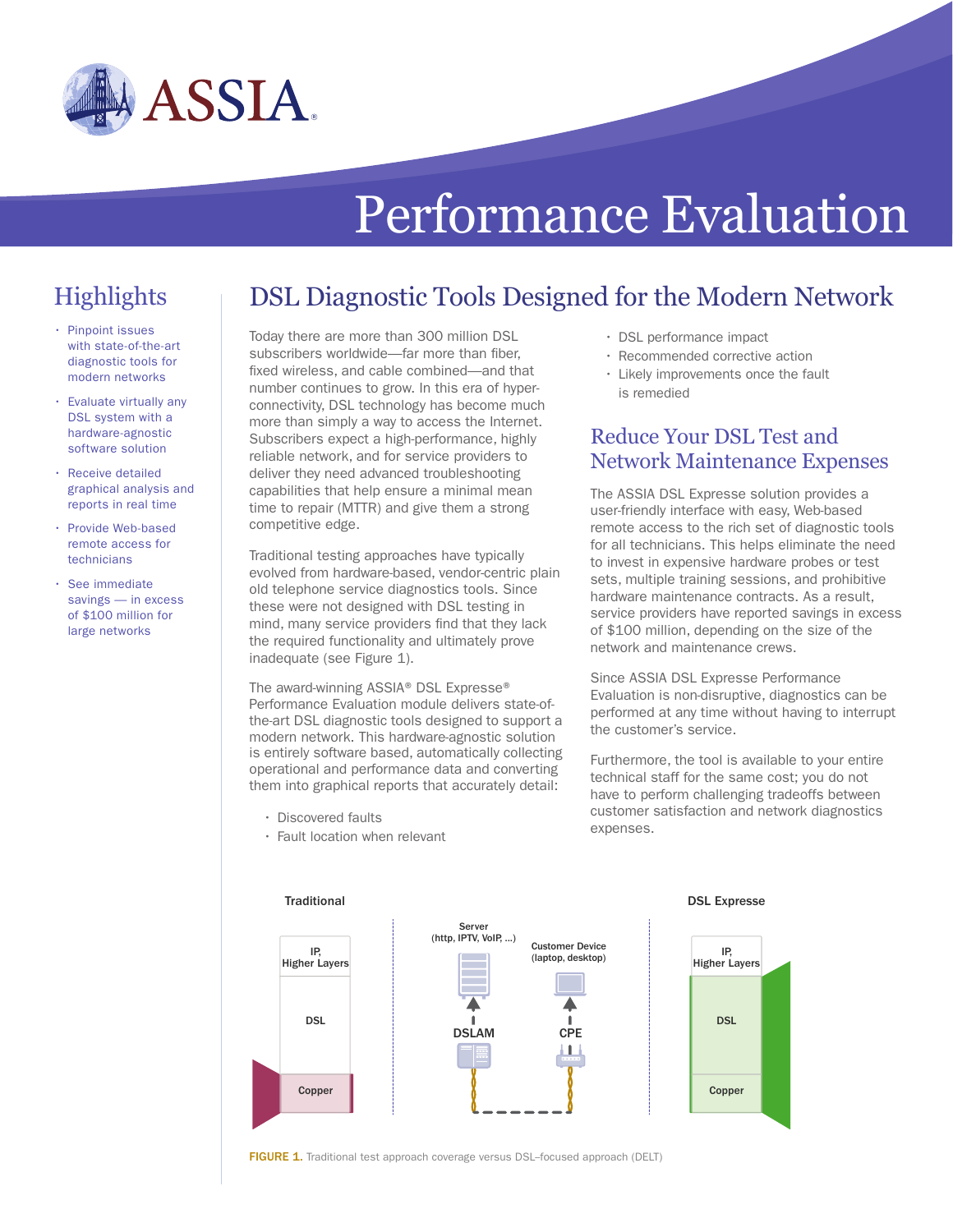

# Performance Evaluation

DSL Diagnostic Tools Designed for the Modern Network

## **Highlights**

- Pinpoint issues with state-of-the-art diagnostic tools for modern networks
- Evaluate virtually any DSL system with a hardware-agnostic software solution
- Receive detailed graphical analysis and reports in real time
- Provide Web-based remote access for technicians
- See immediate savings — in excess of \$100 million for large networks

Today there are more than 300 million DSL subscribers worldwide—far more than fiber, fixed wireless, and cable combined—and that number continues to grow. In this era of hyperconnectivity, DSL technology has become much more than simply a way to access the Internet. Subscribers expect a high-performance, highly reliable network, and for service providers to deliver they need advanced troubleshooting capabilities that help ensure a minimal mean time to repair (MTTR) and give them a strong competitive edge.

Traditional testing approaches have typically evolved from hardware-based, vendor-centric plain old telephone service diagnostics tools. Since these were not designed with DSL testing in mind, many service providers find that they lack the required functionality and ultimately prove inadequate (see Figure 1).

The award-winning ASSIA® DSL Expresse® Performance Evaluation module delivers state-ofthe-art DSL diagnostic tools designed to support a modern network. This hardware-agnostic solution is entirely software based, automatically collecting operational and performance data and converting them into graphical reports that accurately detail:

- Discovered faults
- Fault location when relevant
- DSL performance impact
- Recommended corrective action
- Likely improvements once the fault is remedied

#### Reduce Your DSL Test and Network Maintenance Expenses

The ASSIA DSL Expresse solution provides a user-friendly interface with easy, Web-based remote access to the rich set of diagnostic tools for all technicians. This helps eliminate the need to invest in expensive hardware probes or test sets, multiple training sessions, and prohibitive hardware maintenance contracts. As a result, service providers have reported savings in excess of \$100 million, depending on the size of the network and maintenance crews.

Since ASSIA DSL Expresse Performance Evaluation is non-disruptive, diagnostics can be performed at any time without having to interrupt the customer's service.

Furthermore, the tool is available to your entire technical staff for the same cost; you do not have to perform challenging tradeoffs between customer satisfaction and network diagnostics expenses.







FIGURE 1. Traditional test approach coverage versus DSL-focused approach (DELT)